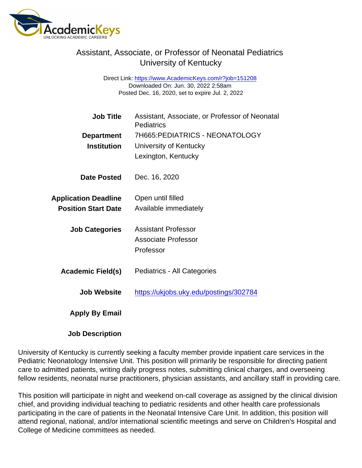## Assistant, Associate, or Professor of Neonatal Pediatrics University of Kentucky

Direct Link: <https://www.AcademicKeys.com/r?job=151208> Downloaded On: Jun. 30, 2022 2:58am Posted Dec. 16, 2020, set to expire Jul. 2, 2022

| <b>Job Title</b>            | Assistant, Associate, or Professor of Neonatal<br>Pediatrics |
|-----------------------------|--------------------------------------------------------------|
| Department                  | 7H665: PEDIATRICS - NEONATOLOGY                              |
| Institution                 | University of Kentucky                                       |
|                             | Lexington, Kentucky                                          |
| Date Posted                 | Dec. 16, 2020                                                |
| <b>Application Deadline</b> | Open until filled                                            |
| <b>Position Start Date</b>  | Available immediately                                        |
| <b>Job Categories</b>       | Assistant Professor                                          |
|                             | Associate Professor                                          |
|                             | Professor                                                    |
| Academic Field(s)           | Pediatrics - All Categories                                  |
| Job Website                 | https://ukjobs.uky.edu/postings/302784                       |
| Apply By Email              |                                                              |

Job Description

University of Kentucky is currently seeking a faculty member provide inpatient care services in the Pediatric Neonatology Intensive Unit. This position will primarily be responsible for directing patient care to admitted patients, writing daily progress notes, submitting clinical charges, and overseeing fellow residents, neonatal nurse practitioners, physician assistants, and ancillary staff in providing care.

This position will participate in night and weekend on-call coverage as assigned by the clinical division chief, and providing individual teaching to pediatric residents and other health care professionals participating in the care of patients in the Neonatal Intensive Care Unit. In addition, this position will attend regional, national, and/or international scientific meetings and serve on Children's Hospital and College of Medicine committees as needed.